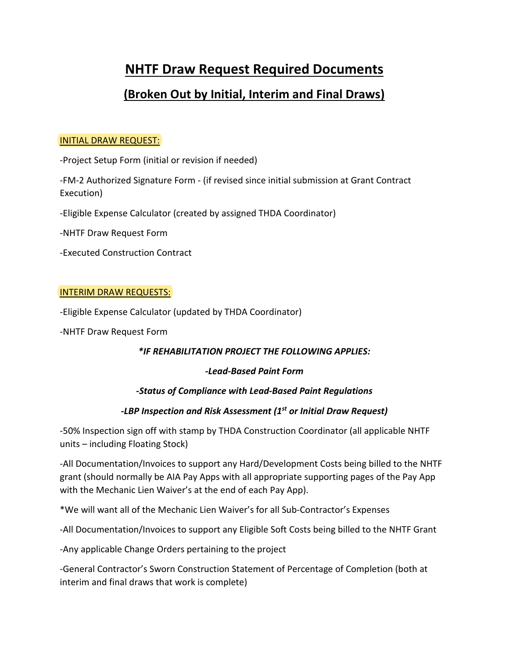# **NHTF Draw Request Required Documents**

## **(Broken Out by Initial, Interim and Final Draws)**

#### INITIAL DRAW REQUEST:

-Project Setup Form (initial or revision if needed)

-FM-2 Authorized Signature Form - (if revised since initial submission at Grant Contract Execution)

-Eligible Expense Calculator (created by assigned THDA Coordinator)

-NHTF Draw Request Form

-Executed Construction Contract

#### INTERIM DRAW REQUESTS:

-Eligible Expense Calculator (updated by THDA Coordinator)

-NHTF Draw Request Form

#### *\*IF REHABILITATION PROJECT THE FOLLOWING APPLIES:*

#### *-Lead-Based Paint Form*

#### *-Status of Compliance with Lead-Based Paint Regulations*

### *-LBP Inspection and Risk Assessment (1st or Initial Draw Request)*

-50% Inspection sign off with stamp by THDA Construction Coordinator (all applicable NHTF units – including Floating Stock)

-All Documentation/Invoices to support any Hard/Development Costs being billed to the NHTF grant (should normally be AIA Pay Apps with all appropriate supporting pages of the Pay App with the Mechanic Lien Waiver's at the end of each Pay App).

\*We will want all of the Mechanic Lien Waiver's for all Sub-Contractor's Expenses

-All Documentation/Invoices to support any Eligible Soft Costs being billed to the NHTF Grant

-Any applicable Change Orders pertaining to the project

-General Contractor's Sworn Construction Statement of Percentage of Completion (both at interim and final draws that work is complete)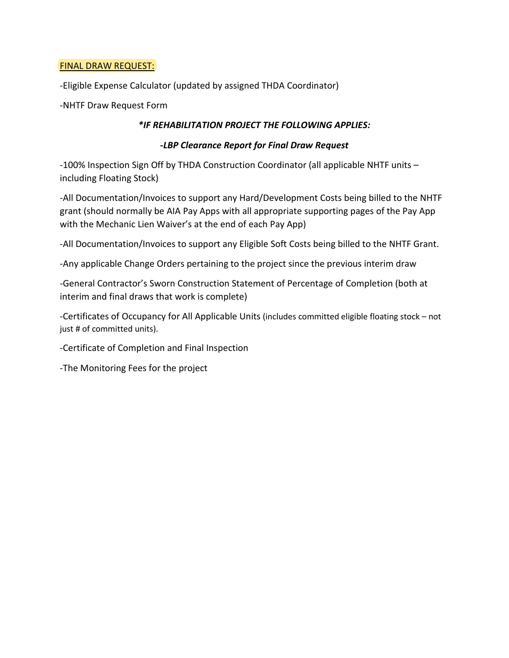#### FINAL DRAW REQUEST:

-Eligible Expense Calculator (updated by assigned THDA Coordinator)

-NHTF Draw Request Form

#### *\*IF REHABILITATION PROJECT THE FOLLOWING APPLIES:*

#### *-LBP Clearance Report for Final Draw Request*

-100% Inspection Sign Off by THDA Construction Coordinator (all applicable NHTF units – including Floating Stock)

-All Documentation/Invoices to support any Hard/Development Costs being billed to the NHTF grant (should normally be AIA Pay Apps with all appropriate supporting pages of the Pay App with the Mechanic Lien Waiver's at the end of each Pay App)

-All Documentation/Invoices to support any Eligible Soft Costs being billed to the NHTF Grant.

-Any applicable Change Orders pertaining to the project since the previous interim draw

-General Contractor's Sworn Construction Statement of Percentage of Completion (both at interim and final draws that work is complete)

-Certificates of Occupancy for All Applicable Units (includes committed eligible floating stock – not just # of committed units).

-Certificate of Completion and Final Inspection

-The Monitoring Fees for the project